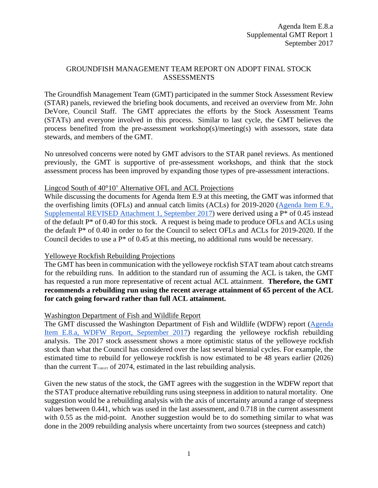## GROUNDFISH MANAGEMENT TEAM REPORT ON ADOPT FINAL STOCK ASSESSMENTS

The Groundfish Management Team (GMT) participated in the summer Stock Assessment Review (STAR) panels, reviewed the briefing book documents, and received an overview from Mr. John DeVore, Council Staff. The GMT appreciates the efforts by the Stock Assessment Teams (STATs) and everyone involved in this process. Similar to last cycle, the GMT believes the process benefited from the pre-assessment workshop(s)/meeting(s) with assessors, state data stewards, and members of the GMT.

No unresolved concerns were noted by GMT advisors to the STAR panel reviews. As mentioned previously, the GMT is supportive of pre-assessment workshops, and think that the stock assessment process has been improved by expanding those types of pre-assessment interactions.

## Lingcod South of 40°10' Alternative OFL and ACL Projections

While discussing the documents for Agenda Item E.9 at this meeting, the GMT was informed that the overfishing limits (OFLs) and annual catch limits (ACLs) for 2019-2020 [\(Agenda Item E.9.,](http://www.pcouncil.org/wp-content/uploads/2017/09/E9_Sup_REVISED_Att1_2019-20HarvestSpex_SEPT2017BB.pdf)  [Supplemental REVISED Attachment 1, September 2017\)](http://www.pcouncil.org/wp-content/uploads/2017/09/E9_Sup_REVISED_Att1_2019-20HarvestSpex_SEPT2017BB.pdf) were derived using a P\* of 0.45 instead of the default P\* of 0.40 for this stock. A request is being made to produce OFLs and ACLs using the default P\* of 0.40 in order to for the Council to select OFLs and ACLs for 2019-2020. If the Council decides to use a P\* of 0.45 at this meeting, no additional runs would be necessary.

## Yelloweye Rockfish Rebuilding Projections

The GMT has been in communication with the yelloweye rockfish STAT team about catch streams for the rebuilding runs. In addition to the standard run of assuming the ACL is taken, the GMT has requested a run more representative of recent actual ACL attainment. **Therefore, the GMT recommends a rebuilding run using the recent average attainment of 65 percent of the ACL for catch going forward rather than full ACL attainment.**

## Washington Department of Fish and Wildlife Report

The GMT discussed the Washington Department of Fish and Wildlife (WDFW) report [\(Agenda](http://www.pcouncil.org/wp-content/uploads/2017/08/E8a_WDFW_Rpt1_SEPT2017BB.pdf)  [Item E.8.a, WDFW Report, September 2017\)](http://www.pcouncil.org/wp-content/uploads/2017/08/E8a_WDFW_Rpt1_SEPT2017BB.pdf) regarding the yelloweye rockfish rebuilding analysis. The 2017 stock assessment shows a more optimistic status of the yelloweye rockfish stock than what the Council has considered over the last several biennial cycles. For example, the estimated time to rebuild for yelloweye rockfish is now estimated to be 48 years earlier (2026) than the current  $T_{\text{TARGE}}$  of 2074, estimated in the last rebuilding analysis.

Given the new status of the stock, the GMT agrees with the suggestion in the WDFW report that the STAT produce alternative rebuilding runs using steepness in addition to natural mortality. One suggestion would be a rebuilding analysis with the axis of uncertainty around a range of steepness values between 0.441, which was used in the last assessment, and 0.718 in the current assessment with 0.55 as the mid-point. Another suggestion would be to do something similar to what was done in the 2009 rebuilding analysis where uncertainty from two sources (steepness and catch)